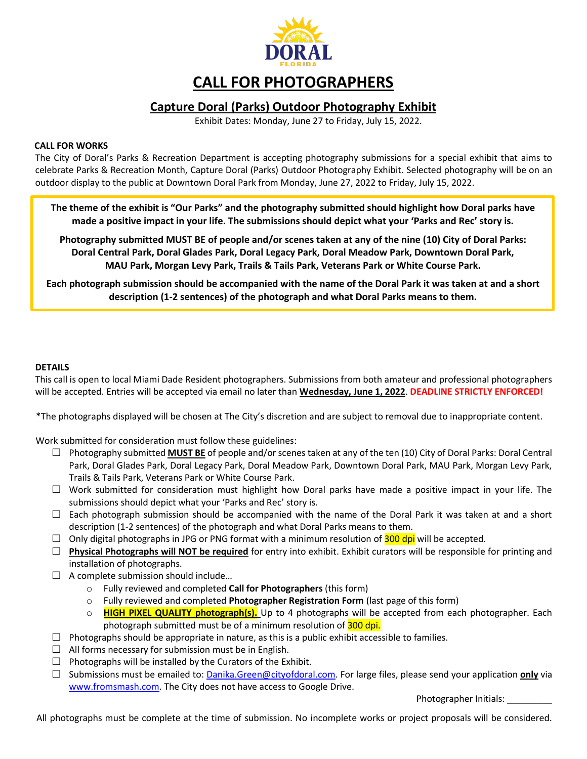

# **CALL FOR PHOTOGRAPHERS**

## **Capture Doral (Parks) Outdoor Photography Exhibit**

Exhibit Dates: Monday, June 27 to Friday, July 15, 2022.

#### **CALL FOR WORKS**

The City of Doral's Parks & Recreation Department is accepting photography submissions for a special exhibit that aims to celebrate Parks & Recreation Month, Capture Doral (Parks) Outdoor Photography Exhibit. Selected photography will be on an outdoor display to the public at Downtown Doral Park from Monday, June 27, 2022 to Friday, July 15, 2022.

**The theme of the exhibit is "Our Parks" and the photography submitted should highlight how Doral parks have made a positive impact in your life. The submissions should depict what your 'Parks and Rec' story is.**

**Photography submitted MUST BE of people and/or scenes taken at any of the nine (10) City of Doral Parks: Doral Central Park, Doral Glades Park, Doral Legacy Park, Doral Meadow Park, Downtown Doral Park, MAU Park, Morgan Levy Park, Trails & Tails Park, Veterans Park or White Course Park.**

**Each photograph submission should be accompanied with the name of the Doral Park it was taken at and a short description (1-2 sentences) of the photograph and what Doral Parks means to them.**

#### **DETAILS**

This call is open to local Miami Dade Resident photographers. Submissions from both amateur and professional photographers will be accepted. Entries will be accepted via email no later than **Wednesday, June 1, 2022**. **DEADLINE STRICTLY ENFORCED!**

\*The photographs displayed will be chosen at The City's discretion and are subject to removal due to inappropriate content.

Work submitted for consideration must follow these guidelines:

- Photography submitted **MUST BE** of people and/or scenes taken at any of the ten (10) City of Doral Parks: Doral Central Park, Doral Glades Park, Doral Legacy Park, Doral Meadow Park, Downtown Doral Park, MAU Park, Morgan Levy Park, Trails & Tails Park, Veterans Park or White Course Park.
- $\Box$  Work submitted for consideration must highlight how Doral parks have made a positive impact in your life. The submissions should depict what your 'Parks and Rec' story is.
- $\Box$  Each photograph submission should be accompanied with the name of the Doral Park it was taken at and a short description (1-2 sentences) of the photograph and what Doral Parks means to them.
- $\Box$  Only digital photographs in JPG or PNG format with a minimum resolution of **300 dpi** will be accepted.
- **Physical Photographs will NOT be required** for entry into exhibit. Exhibit curators will be responsible for printing and installation of photographs.
- $\Box$  A complete submission should include...
	- o Fully reviewed and completed **Call for Photographers** (this form)
	- o Fully reviewed and completed **Photographer Registration Form** (last page of this form)
	- o **HIGH PIXEL QUALITY photograph(s).** Up to 4 photographs will be accepted from each photographer. Each photograph submitted must be of a minimum resolution of 300 dpi.
- $\Box$  Photographs should be appropriate in nature, as this is a public exhibit accessible to families.
- $\Box$  All forms necessary for submission must be in English.
- $\Box$  Photographs will be installed by the Curators of the Exhibit.
- □ Submissions must be emailed to: [Danika.Green@cityofdoral.com.](mailto:Danika.Green@cityofdoral.com) For large files, please send your application **only** via [www.fromsmash.com.](https://fromsmash.com/) The City does not have access to Google Drive.

Photographer Initials: \_\_\_\_\_\_

All photographs must be complete at the time of submission. No incomplete works or project proposals will be considered.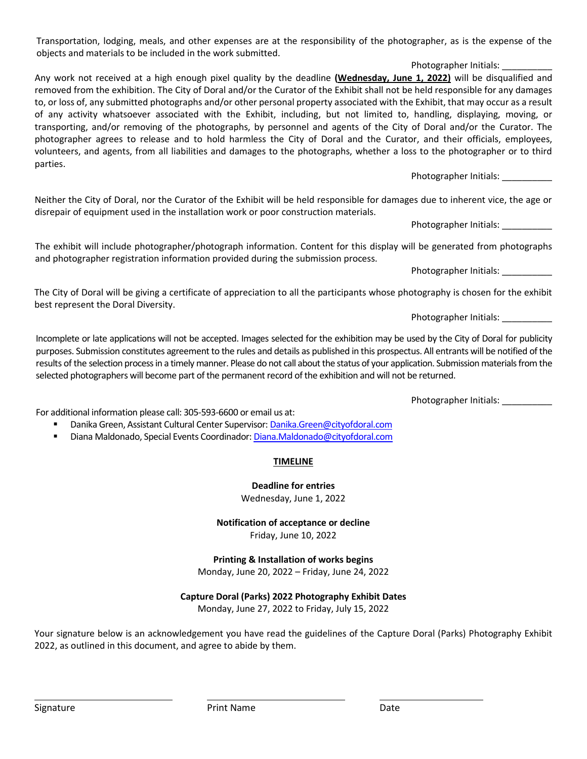Transportation, lodging, meals, and other expenses are at the responsibility of the photographer, as is the expense of the objects and materials to be included in the work submitted.

Photographer Initials:

Any work not received at a high enough pixel quality by the deadline **(Wednesday, June 1, 2022)** will be disqualified and removed from the exhibition. The City of Doral and/or the Curator of the Exhibit shall not be held responsible for any damages to, or loss of, any submitted photographs and/or other personal property associated with the Exhibit, that may occur as a result of any activity whatsoever associated with the Exhibit, including, but not limited to, handling, displaying, moving, or transporting, and/or removing of the photographs, by personnel and agents of the City of Doral and/or the Curator. The photographer agrees to release and to hold harmless the City of Doral and the Curator, and their officials, employees, volunteers, and agents, from all liabilities and damages to the photographs, whether a loss to the photographer or to third parties.

Photographer Initials:

Neither the City of Doral, nor the Curator of the Exhibit will be held responsible for damages due to inherent vice, the age or disrepair of equipment used in the installation work or poor construction materials.

Photographer Initials: \_\_\_\_\_\_\_\_\_\_

The exhibit will include photographer/photograph information. Content for this display will be generated from photographs and photographer registration information provided during the submission process.

Photographer Initials:

The City of Doral will be giving a certificate of appreciation to all the participants whose photography is chosen for the exhibit best represent the Doral Diversity.

Photographer Initials: \_\_\_\_\_\_\_\_\_\_\_

Incomplete or late applications will not be accepted. Images selected for the exhibition may be used by the City of Doral for publicity purposes. Submission constitutes agreement to the rules and details as published in this prospectus. All entrants will be notified of the results of the selection process in a timely manner. Please do not call about the status of your application. Submission materials from the selected photographers will become part of the permanent record of the exhibition and will not be returned.

Photographer Initials: \_\_\_\_\_\_\_\_\_\_\_\_

For additional information please call: 305-593-6600 or email us at:

- Danika Green, Assistant Cultural Center Supervisor[: Danika.Green@cityofdoral.com](mailto:Danika.Green@cityofdoral.com)
- Diana Maldonado, Special Events Coordinador[: Diana.Maldonado@cityofdoral.com](mailto:Diana.Maldonado@cityofdoral.com)

### **TIMELINE**

### **Deadline for entries**

Wednesday, June 1, 2022

## **Notification of acceptance or decline**

Friday, June 10, 2022

**Printing & Installation of works begins** Monday, June 20, 2022 – Friday, June 24, 2022

# **Capture Doral (Parks) 2022 Photography Exhibit Dates**

Monday, June 27, 2022 to Friday, July 15, 2022

Your signature below is an acknowledgement you have read the guidelines of the Capture Doral (Parks) Photography Exhibit 2022, as outlined in this document, and agree to abide by them.